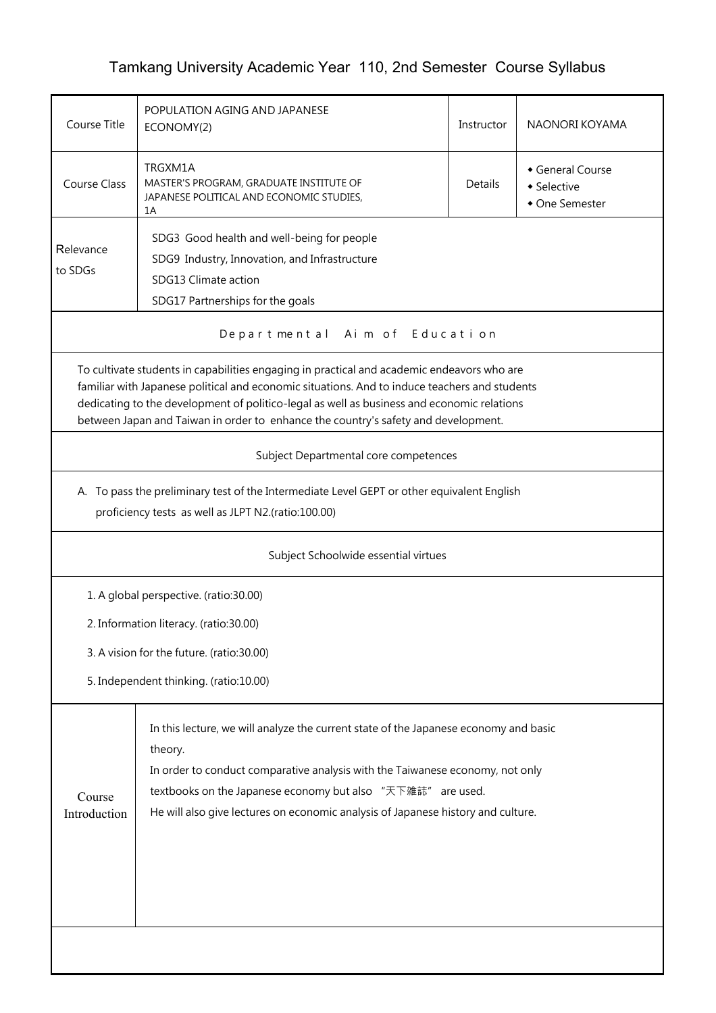## Tamkang University Academic Year 110, 2nd Semester Course Syllabus

| Course Title                                                                                                                                                                                                                                                                                                                                                                    | POPULATION AGING AND JAPANESE<br>ECONOMY(2)                                                                                    | Instructor | NAONORI KOYAMA                   |  |  |  |  |  |
|---------------------------------------------------------------------------------------------------------------------------------------------------------------------------------------------------------------------------------------------------------------------------------------------------------------------------------------------------------------------------------|--------------------------------------------------------------------------------------------------------------------------------|------------|----------------------------------|--|--|--|--|--|
| <b>Course Class</b>                                                                                                                                                                                                                                                                                                                                                             | TRGXM1A<br>MASTER'S PROGRAM, GRADUATE INSTITUTE OF<br>Details<br>• Selective<br>JAPANESE POLITICAL AND ECONOMIC STUDIES,<br>1A |            | General Course<br>• One Semester |  |  |  |  |  |
| Relevance<br>to SDGs                                                                                                                                                                                                                                                                                                                                                            | SDG3 Good health and well-being for people<br>SDG9 Industry, Innovation, and Infrastructure<br>SDG13 Climate action            |            |                                  |  |  |  |  |  |
|                                                                                                                                                                                                                                                                                                                                                                                 | SDG17 Partnerships for the goals                                                                                               |            |                                  |  |  |  |  |  |
| Departmental Aim of Education                                                                                                                                                                                                                                                                                                                                                   |                                                                                                                                |            |                                  |  |  |  |  |  |
| To cultivate students in capabilities engaging in practical and academic endeavors who are<br>familiar with Japanese political and economic situations. And to induce teachers and students<br>dedicating to the development of politico-legal as well as business and economic relations<br>between Japan and Taiwan in order to enhance the country's safety and development. |                                                                                                                                |            |                                  |  |  |  |  |  |
|                                                                                                                                                                                                                                                                                                                                                                                 | Subject Departmental core competences                                                                                          |            |                                  |  |  |  |  |  |
| A. To pass the preliminary test of the Intermediate Level GEPT or other equivalent English<br>proficiency tests as well as JLPT N2.(ratio:100.00)                                                                                                                                                                                                                               |                                                                                                                                |            |                                  |  |  |  |  |  |
| Subject Schoolwide essential virtues                                                                                                                                                                                                                                                                                                                                            |                                                                                                                                |            |                                  |  |  |  |  |  |
| 1. A global perspective. (ratio:30.00)                                                                                                                                                                                                                                                                                                                                          |                                                                                                                                |            |                                  |  |  |  |  |  |
|                                                                                                                                                                                                                                                                                                                                                                                 | 2. Information literacy. (ratio:30.00)                                                                                         |            |                                  |  |  |  |  |  |
| 3. A vision for the future. (ratio:30.00)                                                                                                                                                                                                                                                                                                                                       |                                                                                                                                |            |                                  |  |  |  |  |  |
| 5. Independent thinking. (ratio:10.00)                                                                                                                                                                                                                                                                                                                                          |                                                                                                                                |            |                                  |  |  |  |  |  |
| In this lecture, we will analyze the current state of the Japanese economy and basic<br>theory.<br>In order to conduct comparative analysis with the Taiwanese economy, not only<br>textbooks on the Japanese economy but also "天下雑誌" are used.<br>Course<br>He will also give lectures on economic analysis of Japanese history and culture.<br>Introduction                   |                                                                                                                                |            |                                  |  |  |  |  |  |
|                                                                                                                                                                                                                                                                                                                                                                                 |                                                                                                                                |            |                                  |  |  |  |  |  |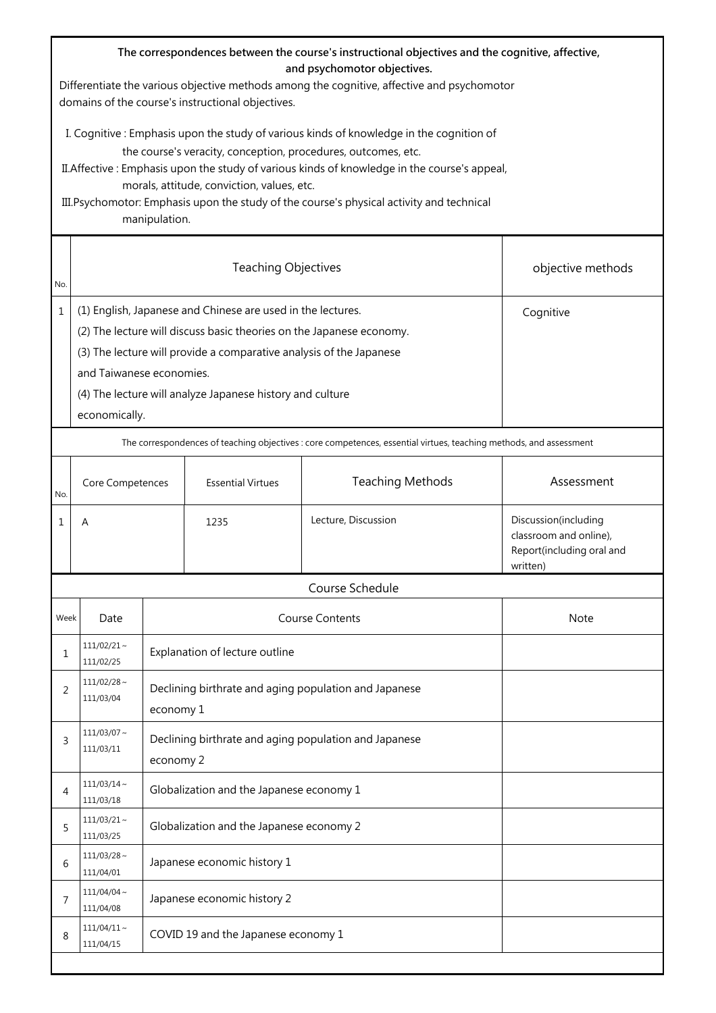| The correspondences between the course's instructional objectives and the cognitive, affective,<br>and psychomotor objectives.<br>Differentiate the various objective methods among the cognitive, affective and psychomotor<br>domains of the course's instructional objectives.                                                                                                                                     |                               |                                                                                                                                                                                                                                                                                                                  |                                                                    |                                                                                                                    |                                                                                         |  |  |  |  |  |
|-----------------------------------------------------------------------------------------------------------------------------------------------------------------------------------------------------------------------------------------------------------------------------------------------------------------------------------------------------------------------------------------------------------------------|-------------------------------|------------------------------------------------------------------------------------------------------------------------------------------------------------------------------------------------------------------------------------------------------------------------------------------------------------------|--------------------------------------------------------------------|--------------------------------------------------------------------------------------------------------------------|-----------------------------------------------------------------------------------------|--|--|--|--|--|
| I. Cognitive : Emphasis upon the study of various kinds of knowledge in the cognition of<br>the course's veracity, conception, procedures, outcomes, etc.<br>II. Affective: Emphasis upon the study of various kinds of knowledge in the course's appeal,<br>morals, attitude, conviction, values, etc.<br>III. Psychomotor: Emphasis upon the study of the course's physical activity and technical<br>manipulation. |                               |                                                                                                                                                                                                                                                                                                                  |                                                                    |                                                                                                                    |                                                                                         |  |  |  |  |  |
| No.                                                                                                                                                                                                                                                                                                                                                                                                                   |                               |                                                                                                                                                                                                                                                                                                                  | objective methods                                                  |                                                                                                                    |                                                                                         |  |  |  |  |  |
| 1                                                                                                                                                                                                                                                                                                                                                                                                                     | economically.                 | (1) English, Japanese and Chinese are used in the lectures.<br>Cognitive<br>(2) The lecture will discuss basic theories on the Japanese economy.<br>(3) The lecture will provide a comparative analysis of the Japanese<br>and Taiwanese economies.<br>(4) The lecture will analyze Japanese history and culture |                                                                    |                                                                                                                    |                                                                                         |  |  |  |  |  |
|                                                                                                                                                                                                                                                                                                                                                                                                                       |                               |                                                                                                                                                                                                                                                                                                                  |                                                                    | The correspondences of teaching objectives : core competences, essential virtues, teaching methods, and assessment |                                                                                         |  |  |  |  |  |
| No.                                                                                                                                                                                                                                                                                                                                                                                                                   |                               | <b>Essential Virtues</b><br>Core Competences                                                                                                                                                                                                                                                                     |                                                                    | <b>Teaching Methods</b>                                                                                            | Assessment                                                                              |  |  |  |  |  |
| 1                                                                                                                                                                                                                                                                                                                                                                                                                     | A                             |                                                                                                                                                                                                                                                                                                                  | 1235                                                               | Lecture, Discussion                                                                                                | Discussion(including<br>classroom and online),<br>Report(including oral and<br>written) |  |  |  |  |  |
|                                                                                                                                                                                                                                                                                                                                                                                                                       |                               |                                                                                                                                                                                                                                                                                                                  |                                                                    | Course Schedule                                                                                                    |                                                                                         |  |  |  |  |  |
| Week                                                                                                                                                                                                                                                                                                                                                                                                                  | Date                          |                                                                                                                                                                                                                                                                                                                  |                                                                    | <b>Course Contents</b>                                                                                             | <b>Note</b>                                                                             |  |  |  |  |  |
| 1                                                                                                                                                                                                                                                                                                                                                                                                                     | $111/02/21 \sim$<br>111/02/25 |                                                                                                                                                                                                                                                                                                                  | Explanation of lecture outline                                     |                                                                                                                    |                                                                                         |  |  |  |  |  |
| 2                                                                                                                                                                                                                                                                                                                                                                                                                     | $111/02/28$ ~<br>111/03/04    |                                                                                                                                                                                                                                                                                                                  | Declining birthrate and aging population and Japanese<br>economy 1 |                                                                                                                    |                                                                                         |  |  |  |  |  |
| 3                                                                                                                                                                                                                                                                                                                                                                                                                     | $111/03/07 \sim$<br>111/03/11 |                                                                                                                                                                                                                                                                                                                  | Declining birthrate and aging population and Japanese<br>economy 2 |                                                                                                                    |                                                                                         |  |  |  |  |  |
| 4                                                                                                                                                                                                                                                                                                                                                                                                                     | $111/03/14$ ~<br>111/03/18    |                                                                                                                                                                                                                                                                                                                  | Globalization and the Japanese economy 1                           |                                                                                                                    |                                                                                         |  |  |  |  |  |
| 5                                                                                                                                                                                                                                                                                                                                                                                                                     | $111/03/21$ ~<br>111/03/25    |                                                                                                                                                                                                                                                                                                                  | Globalization and the Japanese economy 2                           |                                                                                                                    |                                                                                         |  |  |  |  |  |
| 6                                                                                                                                                                                                                                                                                                                                                                                                                     | $111/03/28 \sim$<br>111/04/01 |                                                                                                                                                                                                                                                                                                                  | Japanese economic history 1                                        |                                                                                                                    |                                                                                         |  |  |  |  |  |
| 7                                                                                                                                                                                                                                                                                                                                                                                                                     | $111/04/04 \sim$<br>111/04/08 |                                                                                                                                                                                                                                                                                                                  | Japanese economic history 2                                        |                                                                                                                    |                                                                                         |  |  |  |  |  |
| 8                                                                                                                                                                                                                                                                                                                                                                                                                     | $111/04/11 \sim$<br>111/04/15 |                                                                                                                                                                                                                                                                                                                  | COVID 19 and the Japanese economy 1                                |                                                                                                                    |                                                                                         |  |  |  |  |  |
|                                                                                                                                                                                                                                                                                                                                                                                                                       |                               |                                                                                                                                                                                                                                                                                                                  |                                                                    |                                                                                                                    |                                                                                         |  |  |  |  |  |